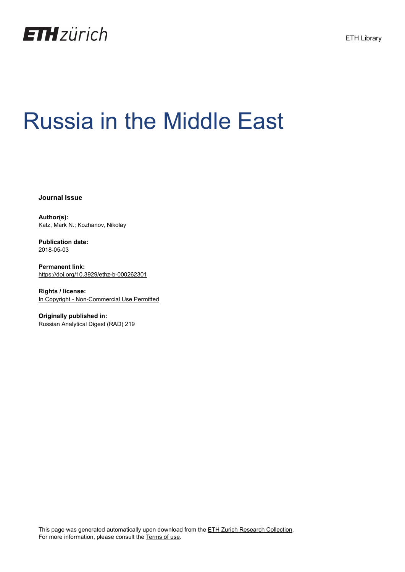

# Russia in the Middle East

**Journal Issue**

**Author(s):** Katz, Mark N.; Kozhanov, Nikolay

**Publication date:** 2018-05-03

**Permanent link:** <https://doi.org/10.3929/ethz-b-000262301>

**Rights / license:** [In Copyright - Non-Commercial Use Permitted](http://rightsstatements.org/page/InC-NC/1.0/)

**Originally published in:** Russian Analytical Digest (RAD) 219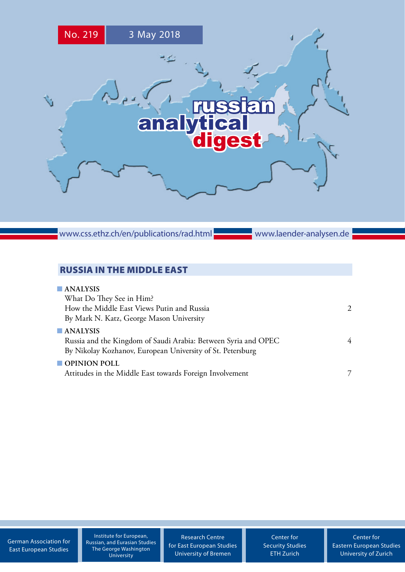

www.css.ethz.ch/en/publications/rad.html

www.laender-analysen.de

# RUSSIA IN THE MIDDLE EAST

| $\blacksquare$ ANALYSIS                                        |               |
|----------------------------------------------------------------|---------------|
| What Do They See in Him?                                       |               |
| How the Middle East Views Putin and Russia                     | $\mathcal{L}$ |
| By Mark N. Katz, George Mason University                       |               |
| $\blacksquare$ ANALYSIS                                        |               |
| Russia and the Kingdom of Saudi Arabia: Between Syria and OPEC | 4             |
| By Nikolay Kozhanov, European University of St. Petersburg     |               |
| $\blacksquare$ OPINION POLL                                    |               |
| Attitudes in the Middle East towards Foreign Involvement       |               |
|                                                                |               |

[German Association for](http://www.dgo-online.org/) [East European Studies](http://www.dgo-online.org/)

Institute for European, Russian, and Eurasian Studies The George Washington University

[Research Centre](http://www.forschungsstelle.uni-bremen.de/) [for East European Studies](http://www.forschungsstelle.uni-bremen.de/) [University of Bremen](http://www.forschungsstelle.uni-bremen.de/)

[Center for](http://www.css.ethz.ch/) [Security Studies](http://www.css.ethz.ch/) [ETH Zurich](http://www.css.ethz.ch/)

[Center for](http://www.cees.uzh.ch/) [Eastern European Studies](http://www.cees.uzh.ch/) [University of Zurich](http://www.cees.uzh.ch/)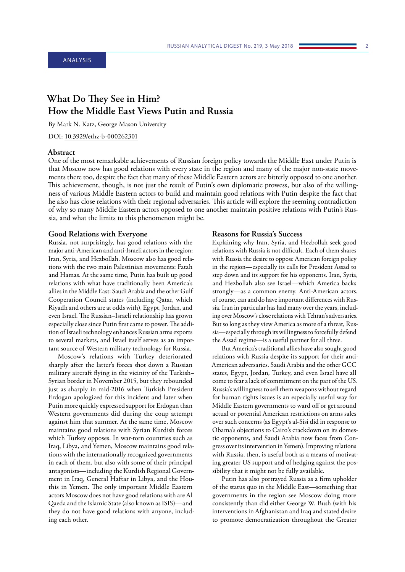# <span id="page-2-0"></span>**What Do They See in Him? How the Middle East Views Putin and Russia**

By Mark N. Katz, George Mason University

DOI: [10.3929/ethz-b-000262301](https://doi.org/10.3929/ethz-b-000262301)

## **Abstract**

One of the most remarkable achievements of Russian foreign policy towards the Middle East under Putin is that Moscow now has good relations with every state in the region and many of the major non-state movements there too, despite the fact that many of these Middle Eastern actors are bitterly opposed to one another. This achievement, though, is not just the result of Putin's own diplomatic prowess, but also of the willingness of various Middle Eastern actors to build and maintain good relations with Putin despite the fact that he also has close relations with their regional adversaries. This article will explore the seeming contradiction of why so many Middle Eastern actors opposed to one another maintain positive relations with Putin's Russia, and what the limits to this phenomenon might be.

### **Good Relations with Everyone**

Russia, not surprisingly, has good relations with the major anti-American and anti-Israeli actors in the region: Iran, Syria, and Hezbollah. Moscow also has good relations with the two main Palestinian movements: Fatah and Hamas. At the same time, Putin has built up good relations with what have traditionally been America's allies in the Middle East: Saudi Arabia and the other Gulf Cooperation Council states (including Qatar, which Riyadh and others are at odds with), Egypt, Jordan, and even Israel. The Russian–Israeli relationship has grown especially close since Putin first came to power. The addition of Israeli technology enhances Russian arms exports to several markets, and Israel itself serves as an important source of Western military technology for Russia.

Moscow's relations with Turkey deteriorated sharply after the latter's forces shot down a Russian military aircraft flying in the vicinity of the Turkish– Syrian border in November 2015, but they rebounded just as sharply in mid-2016 when Turkish President Erdogan apologized for this incident and later when Putin more quickly expressed support for Erdogan than Western governments did during the coup attempt against him that summer. At the same time, Moscow maintains good relations with Syrian Kurdish forces which Turkey opposes. In war-torn countries such as Iraq, Libya, and Yemen, Moscow maintains good relations with the internationally recognized governments in each of them, but also with some of their principal antagonists—including the Kurdish Regional Government in Iraq, General Haftar in Libya, and the Houthis in Yemen. The only important Middle Eastern actors Moscow does not have good relations with are Al Qaeda and the Islamic State (also known as ISIS)—and they do not have good relations with anyone, including each other.

#### **Reasons for Russia's Success**

Explaining why Iran, Syria, and Hezbollah seek good relations with Russia is not difficult. Each of them shares with Russia the desire to oppose American foreign policy in the region—especially its calls for President Assad to step down and its support for his opponents. Iran, Syria, and Hezbollah also see Israel—which America backs strongly—as a common enemy. Anti-American actors, of course, can and do have important differences with Russia. Iran in particular has had many over the years, including over Moscow's close relations with Tehran's adversaries. But so long as they view America as more of a threat, Russia—especially through its willingness to forcefully defend the Assad regime—is a useful partner for all three.

But America's traditional allies have also sought good relations with Russia despite its support for their anti-American adversaries. Saudi Arabia and the other GCC states, Egypt, Jordan, Turkey, and even Israel have all come to fear a lack of commitment on the part of the US. Russia's willingness to sell them weapons without regard for human rights issues is an especially useful way for Middle Eastern governments to ward off or get around actual or potential American restrictions on arms sales over such concerns (as Egypt's al-Sisi did in response to Obama's objections to Cairo's crackdown on its domestic opponents, and Saudi Arabia now faces from Congress over its intervention in Yemen). Improving relations with Russia, then, is useful both as a means of motivating greater US support and of hedging against the possibility that it might not be fully available.

Putin has also portrayed Russia as a firm upholder of the status quo in the Middle East—something that governments in the region see Moscow doing more consistently than did either George W. Bush (with his interventions in Afghanistan and Iraq and stated desire to promote democratization throughout the Greater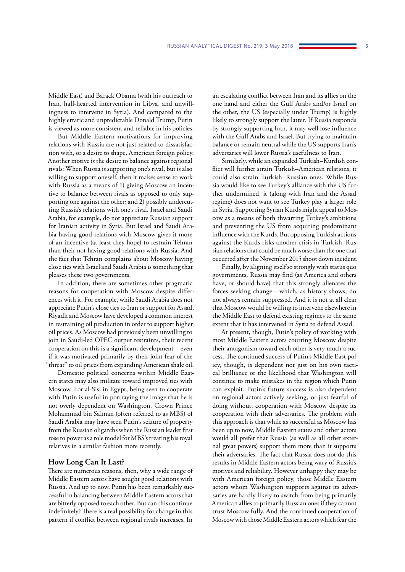Middle East) and Barack Obama (with his outreach to Iran, half-hearted intervention in Libya, and unwillingness to intervene in Syria). And compared to the highly erratic and unpredictable Donald Trump, Putin is viewed as more consistent and reliable in his policies.

But Middle Eastern motivations for improving relations with Russia are not just related to dissatisfaction with, or a desire to shape, American foreign policy. Another motive is the desire to balance against regional rivals: When Russia is supporting one's rival, but is also willing to support oneself, then it makes sense to work with Russia as a means of 1) giving Moscow an incentive to balance between rivals as opposed to only supporting one against the other; and 2) possibly undercutting Russia's relations with one's rival. Israel and Saudi Arabia, for example, do not appreciate Russian support for Iranian activity in Syria. But Israel and Saudi Arabia having good relations with Moscow gives it more of an incentive (at least they hope) to restrain Tehran than their not having good relations with Russia. And the fact that Tehran complains about Moscow having close ties with Israel and Saudi Arabia is something that pleases these two governments.

In addition, there are sometimes other pragmatic reasons for cooperation with Moscow despite differences with it. For example, while Saudi Arabia does not appreciate Putin's close ties to Iran or support for Assad, Riyadh and Moscow have developed a common interest in restraining oil production in order to support higher oil prices. As Moscow had previously been unwilling to join in Saudi-led OPEC output restraints, their recent cooperation on this is a significant development—even if it was motivated primarily by their joint fear of the "threat" to oil prices from expanding American shale oil.

Domestic political concerns within Middle Eastern states may also militate toward improved ties with Moscow. For al-Sisi in Egypt, being seen to cooperate with Putin is useful in portraying the image that he is not overly dependent on Washington. Crown Prince Mohammad bin Salman (often referred to as MBS) of Saudi Arabia may have seen Putin's seizure of property from the Russian oligarchs when the Russian leader first rose to power as a role model for MBS's treating his royal relatives in a similar fashion more recently.

## **How Long Can It Last?**

There are numerous reasons, then, why a wide range of Middle Eastern actors have sought good relations with Russia. And up to now, Putin has been remarkably successful in balancing between Middle Eastern actors that are bitterly opposed to each other. But can this continue indefinitely? There is a real possibility for change in this pattern if conflict between regional rivals increases. In

an escalating conflict between Iran and its allies on the one hand and either the Gulf Arabs and/or Israel on the other, the US (especially under Trump) is highly likely to strongly support the latter. If Russia responds by strongly supporting Iran, it may well lose influence with the Gulf Arabs and Israel. But trying to maintain balance or remain neutral while the US supports Iran's adversaries will lower Russia's usefulness to Iran.

Similarly, while an expanded Turkish–Kurdish conflict will further strain Turkish–American relations, it could also strain Turkish–Russian ones. While Russia would like to see Turkey's alliance with the US further undermined, it (along with Iran and the Assad regime) does not want to see Turkey play a larger role in Syria. Supporting Syrian Kurds might appeal to Moscow as a means of both thwarting Turkey's ambitions and preventing the US from acquiring predominant influence with the Kurds. But opposing Turkish actions against the Kurds risks another crisis in Turkish–Russian relations that could be much worse than the one that occurred after the November 2015 shoot down incident.

Finally, by aligning itself so strongly with status quo governments, Russia may find (as America and others have, or should have) that this strongly alienates the forces seeking change—which, as history shows, do not always remain suppressed. And it is not at all clear that Moscow would be willing to intervene elsewhere in the Middle East to defend existing regimes to the same extent that it has intervened in Syria to defend Assad.

At present, though, Putin's policy of working with most Middle Eastern actors courting Moscow despite their antagonism toward each other is very much a success. The continued success of Putin's Middle East policy, though, is dependent not just on his own tactical brilliance or the likelihood that Washington will continue to make mistakes in the region which Putin can exploit. Putin's future success is also dependent on regional actors actively seeking, or just fearful of doing without, cooperation with Moscow despite its cooperation with their adversaries. The problem with this approach is that while as successful as Moscow has been up to now, Middle Eastern states and other actors would all prefer that Russia (as well as all other external great powers) support them more than it supports their adversaries. The fact that Russia does not do this results in Middle Eastern actors being wary of Russia's motives and reliability. However unhappy they may be with American foreign policy, those Middle Eastern actors whom Washington supports against its adversaries are hardly likely to switch from being primarily American allies to primarily Russian ones if they cannot trust Moscow fully. And the continued cooperation of Moscow with those Middle Eastern actors which fear the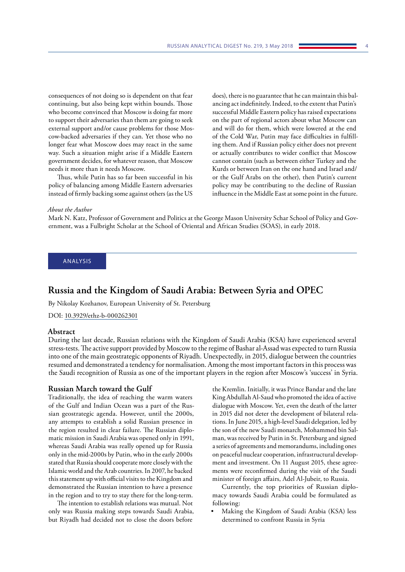<span id="page-4-0"></span>consequences of not doing so is dependent on that fear continuing, but also being kept within bounds. Those who become convinced that Moscow is doing far more to support their adversaries than them are going to seek external support and/or cause problems for those Moscow-backed adversaries if they can. Yet those who no longer fear what Moscow does may react in the same way. Such a situation might arise if a Middle Eastern government decides, for whatever reason, that Moscow needs it more than it needs Moscow.

Thus, while Putin has so far been successful in his policy of balancing among Middle Eastern adversaries instead of firmly backing some against others (as the US does), there is no guarantee that he can maintain this balancing act indefinitely. Indeed, to the extent that Putin's successful Middle Eastern policy has raised expectations on the part of regional actors about what Moscow can and will do for them, which were lowered at the end of the Cold War, Putin may face difficulties in fulfilling them. And if Russian policy either does not prevent or actually contributes to wider conflict that Moscow cannot contain (such as between either Turkey and the Kurds or between Iran on the one hand and Israel and/ or the Gulf Arabs on the other), then Putin's current policy may be contributing to the decline of Russian influence in the Middle East at some point in the future.

#### *About the Author*

Mark N. Katz, Professor of Government and Politics at the George Mason University Schar School of Policy and Government, was a Fulbright Scholar at the School of Oriental and African Studies (SOAS), in early 2018.

#### ANALYSIS

# **Russia and the Kingdom of Saudi Arabia: Between Syria and OPEC**

By Nikolay Kozhanov, European University of St. Petersburg

DOI: [10.3929/ethz-b-000262301](https://doi.org/10.3929/ethz-b-000262301)

#### **Abstract**

During the last decade, Russian relations with the Kingdom of Saudi Arabia (KSA) have experienced several stress-tests. The active support provided by Moscow to the regime of Bashar al-Assad was expected to turn Russia into one of the main geostrategic opponents of Riyadh. Unexpectedly, in 2015, dialogue between the countries resumed and demonstrated a tendency for normalisation. Among the most important factors in this process was the Saudi recognition of Russia as one of the important players in the region after Moscow's 'success' in Syria.

#### **Russian March toward the Gulf**

Traditionally, the idea of reaching the warm waters of the Gulf and Indian Ocean was a part of the Russian geostrategic agenda. However, until the 2000s, any attempts to establish a solid Russian presence in the region resulted in clear failure. The Russian diplomatic mission in Saudi Arabia was opened only in 1991, whereas Saudi Arabia was really opened up for Russia only in the mid-2000s by Putin, who in the early 2000s stated that Russia should cooperate more closely with the Islamic world and the Arab countries. In 2007, he backed this statement up with official visits to the Kingdom and demonstrated the Russian intention to have a presence in the region and to try to stay there for the long-term.

The intention to establish relations was mutual. Not only was Russia making steps towards Saudi Arabia, but Riyadh had decided not to close the doors before

the Kremlin. Initially, it was Prince Bandar and the late King Abdullah Al-Saud who promoted the idea of active dialogue with Moscow. Yet, even the death of the latter in 2015 did not deter the development of bilateral relations. In June 2015, a high-level Saudi delegation, led by the son of the new Saudi monarch, Mohammed bin Salman, was received by Putin in St. Petersburg and signed a series of agreements and memorandums, including ones on peaceful nuclear cooperation, infrastructural development and investment. On 11 August 2015, these agreements were reconfirmed during the visit of the Saudi minister of foreign affairs, Adel Al-Jubeir, to Russia.

Currently, the top priorities of Russian diplomacy towards Saudi Arabia could be formulated as following:

• Making the Kingdom of Saudi Arabia (KSA) less determined to confront Russia in Syria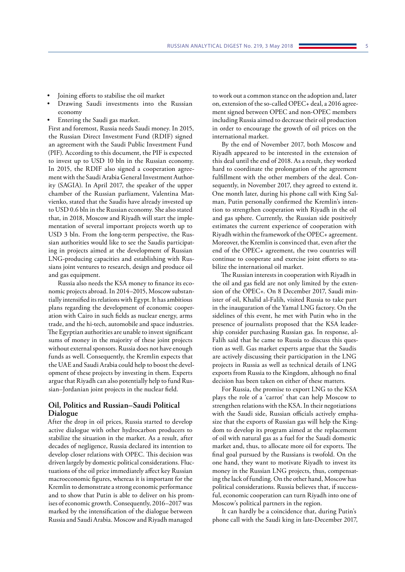- Joining efforts to stabilise the oil market
- Drawing Saudi investments into the Russian economy
- Entering the Saudi gas market.

First and foremost, Russia needs Saudi money. In 2015, the Russian Direct Investment Fund (RDIF) signed an agreement with the Saudi Public Investment Fund (PIF). According to this document, the PIF is expected to invest up to USD 10 bln in the Russian economy. In 2015, the RDIF also signed a cooperation agreement with the Saudi Arabia General Investment Authority (SAGIA). In April 2017, the speaker of the upper chamber of the Russian parliament, Valentina Matvienko, stated that the Saudis have already invested up to USD 0.6 bln in the Russian economy. She also stated that, in 2018, Moscow and Riyadh will start the implementation of several important projects worth up to USD 3 bln. From the long-term perspective, the Russian authorities would like to see the Saudis participating in projects aimed at the development of Russian LNG-producing capacities and establishing with Russians joint ventures to research, design and produce oil and gas equipment.

Russia also needs the KSA money to finance its economic projects abroad. In 2014–2015, Moscow substantially intensified its relations with Egypt. It has ambitious plans regarding the development of economic cooperation with Cairo in such fields as nuclear energy, arms trade, and the hi-tech, automobile and space industries. The Egyptian authorities are unable to invest significant sums of money in the majority of these joint projects without external sponsors. Russia does not have enough funds as well. Consequently, the Kremlin expects that the UAE and Saudi Arabia could help to boost the development of these projects by investing in them. Experts argue that Riyadh can also potentially help to fund Russian–Jordanian joint projects in the nuclear field.

## **Oil, Politics and Russian–Saudi Political Dialogue**

After the drop in oil prices, Russia started to develop active dialogue with other hydrocarbon producers to stabilize the situation in the market. As a result, after decades of negligence, Russia declared its intention to develop closer relations with OPEC. This decision was driven largely by domestic political considerations. Fluctuations of the oil price immediately affect key Russian macroeconomic figures, whereas it is important for the Kremlin to demonstrate a strong economic performance and to show that Putin is able to deliver on his promises of economic growth. Consequently, 2016–2017 was marked by the intensification of the dialogue between Russia and Saudi Arabia. Moscow and Riyadh managed

to work out a common stance on the adoption and, later on, extension of the so-called OPEC+ deal, a 2016 agreement signed between OPEC and non-OPEC members including Russia aimed to decrease their oil production in order to encourage the growth of oil prices on the international market.

By the end of November 2017, both Moscow and Riyadh appeared to be interested in the extension of this deal until the end of 2018. As a result, they worked hard to coordinate the prolongation of the agreement fulfillment with the other members of the deal. Consequently, in November 2017, they agreed to extend it. One month later, during his phone call with King Salman, Putin personally confirmed the Kremlin's intention to strengthen cooperation with Riyadh in the oil and gas sphere. Currently, the Russian side positively estimates the current experience of cooperation with Riyadh within the framework of the OPEC+ agreement. Moreover, the Kremlin is convinced that, even after the end of the OPEC+ agreement, the two countries will continue to cooperate and exercise joint efforts to stabilize the international oil market.

The Russian interests in cooperation with Riyadh in the oil and gas field are not only limited by the extension of the OPEC+. On 8 December 2017, Saudi minister of oil, Khalid al-Falih, visited Russia to take part in the inauguration of the Yamal LNG factory. On the sidelines of this event, he met with Putin who in the presence of journalists proposed that the KSA leadership consider purchasing Russian gas. In response, al-Falih said that he came to Russia to discuss this question as well. Gas market experts argue that the Saudis are actively discussing their participation in the LNG projects in Russia as well as technical details of LNG exports from Russia to the Kingdom, although no final decision has been taken on either of these matters.

For Russia, the promise to export LNG to the KSA plays the role of a 'carrot' that can help Moscow to strengthen relations with the KSA. In their negotiations with the Saudi side, Russian officials actively emphasize that the exports of Russian gas will help the Kingdom to develop its program aimed at the replacement of oil with natural gas as a fuel for the Saudi domestic market and, thus, to allocate more oil for exports. The final goal pursued by the Russians is twofold. On the one hand, they want to motivate Riyadh to invest its money in the Russian LNG projects, thus, compensating the lack of funding. On the other hand, Moscow has political considerations. Russia believes that, if successful, economic cooperation can turn Riyadh into one of Moscow's political partners in the region.

It can hardly be a coincidence that, during Putin's phone call with the Saudi king in late-December 2017,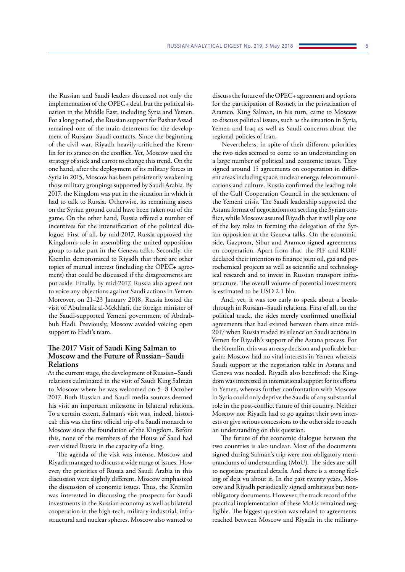the Russian and Saudi leaders discussed not only the implementation of the OPEC+ deal, but the political situation in the Middle East, including Syria and Yemen. For a long period, the Russian support for Bashar Assad remained one of the main deterrents for the development of Russian–Saudi contacts. Since the beginning of the civil war, Riyadh heavily criticized the Kremlin for its stance on the conflict. Yet, Moscow used the strategy of stick and carrot to change this trend. On the one hand, after the deployment of its military forces in Syria in 2015, Moscow has been persistently weakening those military groupings supported by Saudi Arabia. By 2017, the Kingdom was put in the situation in which it had to talk to Russia. Otherwise, its remaining assets on the Syrian ground could have been taken out of the game. On the other hand, Russia offered a number of incentives for the intensification of the political dialogue. First of all, by mid-2017, Russia approved the Kingdom's role in assembling the united opposition group to take part in the Geneva talks. Secondly, the Kremlin demonstrated to Riyadh that there are other topics of mutual interest (including the OPEC+ agreement) that could be discussed if the disagreements are put aside. Finally, by mid-2017, Russia also agreed not to voice any objections against Saudi actions in Yemen. Moreover, on 21–23 January 2018, Russia hosted the visit of Abulmalik al-Mekhlafi, the foreign minister of the Saudi-supported Yemeni government of Abdrabbuh Hadi. Previously, Moscow avoided voicing open support to Hadi's team.

## **The 2017 Visit of Saudi King Salman to Moscow and the Future of Russian–Saudi Relations**

At the current stage, the development of Russian–Saudi relations culminated in the visit of Saudi King Salman to Moscow where he was welcomed on 5–8 October 2017. Both Russian and Saudi media sources deemed his visit an important milestone in bilateral relations. To a certain extent, Salman's visit was, indeed, historical: this was the first official trip of a Saudi monarch to Moscow since the foundation of the Kingdom. Before this, none of the members of the House of Saud had ever visited Russia in the capacity of a king.

The agenda of the visit was intense. Moscow and Riyadh managed to discuss a wide range of issues. However, the priorities of Russia and Saudi Arabia in this discussion were slightly different. Moscow emphasized the discussion of economic issues. Thus, the Kremlin was interested in discussing the prospects for Saudi investments in the Russian economy as well as bilateral cooperation in the high-tech, military-industrial, infrastructural and nuclear spheres. Moscow also wanted to

discuss the future of the OPEC+ agreement and options for the participation of Rosneft in the privatization of Aramco. King Salman, in his turn, came to Moscow to discuss political issues, such as the situation in Syria, Yemen and Iraq as well as Saudi concerns about the regional policies of Iran.

Nevertheless, in spite of their different priorities, the two sides seemed to come to an understanding on a large number of political and economic issues. They signed around 15 agreements on cooperation in different areas including space, nuclear energy, telecommunications and culture. Russia confirmed the leading role of the Gulf Cooperation Council in the settlement of the Yemeni crisis. The Saudi leadership supported the Astana format of negotiations on settling the Syrian conflict, while Moscow assured Riyadh that it will play one of the key roles in forming the delegation of the Syrian opposition at the Geneva talks. On the economic side, Gazprom, Sibur and Aramco signed agreements on cooperation. Apart from that, the PIF and RDIF declared their intention to finance joint oil, gas and petrochemical projects as well as scientific and technological research and to invest in Russian transport infrastructure. The overall volume of potential investments is estimated to be USD 2.1 bln.

And, yet, it was too early to speak about a breakthrough in Russian–Saudi relations. First of all, on the political track, the sides merely confirmed unofficial agreements that had existed between them since mid-2017 when Russia traded its silence on Saudi actions in Yemen for Riyadh's support of the Astana process. For the Kremlin, this was an easy decision and profitable bargain: Moscow had no vital interests in Yemen whereas Saudi support at the negotiation table in Astana and Geneva was needed. Riyadh also benefitted: the Kingdom was interested in international support for its efforts in Yemen, whereas further confrontation with Moscow in Syria could only deprive the Saudis of any substantial role in the post-conflict future of this country. Neither Moscow nor Riyadh had to go against their own interests or give serious concessions to the other side to reach an understanding on this question.

The future of the economic dialogue between the two countries is also unclear. Most of the documents signed during Salman's trip were non-obligatory memorandums of understanding (MoU). The sides are still to negotiate practical details. And there is a strong feeling of deja vu about it. In the past twenty years, Moscow and Riyadh periodically signed ambitious but nonobligatory documents. However, the track record of the practical implementation of these MoUs remained negligible. The biggest question was related to agreements reached between Moscow and Riyadh in the military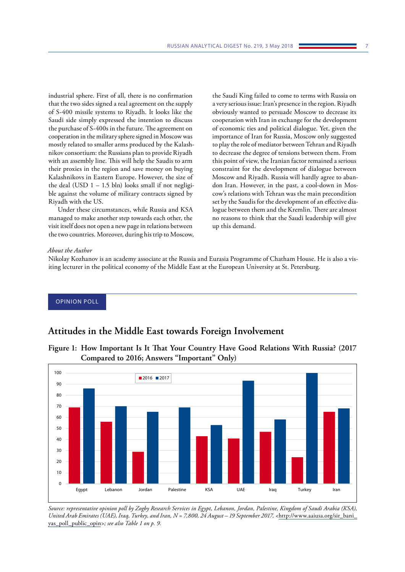<span id="page-7-0"></span>industrial sphere. First of all, there is no confirmation that the two sides signed a real agreement on the supply of S-400 missile systems to Riyadh. It looks like the Saudi side simply expressed the intention to discuss the purchase of S-400s in the future. The agreement on cooperation in the military sphere signed in Moscow was mostly related to smaller arms produced by the Kalashnikov consortium: the Russians plan to provide Riyadh with an assembly line. This will help the Saudis to arm

their proxies in the region and save money on buying Kalashnikovs in Eastern Europe. However, the size of the deal (USD  $1 - 1.5$  bln) looks small if not negligible against the volume of military contracts signed by Riyadh with the US. Under these circumstances, while Russia and KSA

managed to make another step towards each other, the visit itself does not open a new page in relations between the two countries. Moreover, during his trip to Moscow, the Saudi King failed to come to terms with Russia on a very serious issue: Iran's presence in the region. Riyadh obviously wanted to persuade Moscow to decrease its cooperation with Iran in exchange for the development of economic ties and political dialogue. Yet, given the importance of Iran for Russia, Moscow only suggested to play the role of mediator between Tehran and Riyadh to decrease the degree of tensions between them. From this point of view, the Iranian factor remained a serious constraint for the development of dialogue between Moscow and Riyadh. Russia will hardly agree to abandon Iran. However, in the past, a cool-down in Moscow's relations with Tehran was the main precondition set by the Saudis for the development of an effective dialogue between them and the Kremlin. There are almost no reasons to think that the Saudi leadership will give up this demand.

## *About the Author*

Nikolay Kozhanov is an academy associate at the Russia and Eurasia Programme of Chatham House. He is also a visiting lecturer in the political economy of the Middle East at the European University at St. Petersburg.

# OPINION POLL

# **Attitudes in the Middle East towards Foreign Involvement**



**Figure 1: How Important Is It That Your Country Have Good Relations With Russia? (2017 Compared to 2016; Answers "Important" Only)**

*Source: representative opinion poll by Zogby Research Services in Egypt, Lebanon, Jordan, Palestine, Kingdom of Saudi Arabia (KSA), United Arab Emirates (UAE), Iraq, Turkey, and Iran, N = 7,800, 24 August – 19 September 2017, <*[http://www.aaiusa.org/sir\\_bani\\_](http://www.aaiusa.org/sir_bani_yas_poll_public_opin) [yas\\_poll\\_public\\_opin](http://www.aaiusa.org/sir_bani_yas_poll_public_opin)*>; see also Table 1 on p. 9.*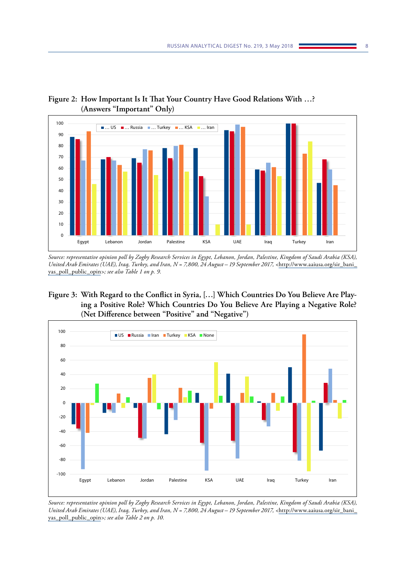# **Figure 2: How Important Is It That Your Country Have Good Relations With …? (Answers "Important" Only)**



*Source: representative opinion poll by Zogby Research Services in Egypt, Lebanon, Jordan, Palestine, Kingdom of Saudi Arabia (KSA), United Arab Emirates (UAE), Iraq, Turkey, and Iran, N = 7,800, 24 August – 19 September 2017, <*[http://www.aaiusa.org/sir\\_bani\\_](http://www.aaiusa.org/sir_bani_yas_poll_public_opin) [yas\\_poll\\_public\\_opin](http://www.aaiusa.org/sir_bani_yas_poll_public_opin)*>; see also Table 1 on p. 9.*

**Figure 3: With Regard to the Conflict in Syria, […] Which Countries Do You Believe Are Playing a Positive Role? Which Countries Do You Believe Are Playing a Negative Role? (Net Difference between "Positive" and "Negative")**



*Source: representative opinion poll by Zogby Research Services in Egypt, Lebanon, Jordan, Palestine, Kingdom of Saudi Arabia (KSA), United Arab Emirates (UAE), Iraq, Turkey, and Iran, N = 7,800, 24 August – 19 September 2017, <*[http://www.aaiusa.org/sir\\_bani\\_](http://www.aaiusa.org/sir_bani_yas_poll_public_opin) [yas\\_poll\\_public\\_opin](http://www.aaiusa.org/sir_bani_yas_poll_public_opin)*>; see also Table 2 on p. 10.*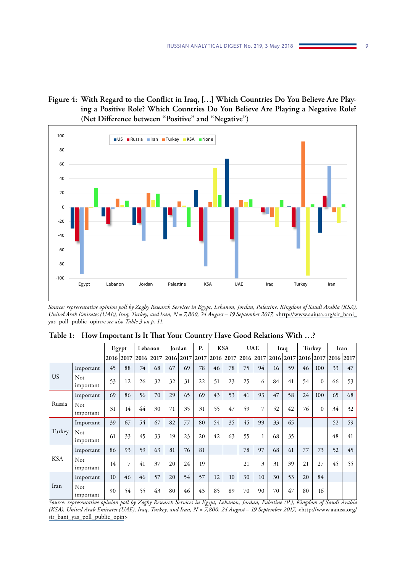# **Figure 4: With Regard to the Conflict in Iraq, […] Which Countries Do You Believe Are Playing a Positive Role? Which Countries Do You Believe Are Playing a Negative Role? (Net Difference between "Positive" and "Negative")**



*Source: representative opinion poll by Zogby Research Services in Egypt, Lebanon, Jordan, Palestine, Kingdom of Saudi Arabia (KSA), United Arab Emirates (UAE), Iraq, Turkey, and Iran, N = 7,800, 24 August – 19 September 2017, <*[http://www.aaiusa.org/sir\\_bani\\_](http://www.aaiusa.org/sir_bani_yas_poll_public_opin) [yas\\_poll\\_public\\_opin](http://www.aaiusa.org/sir_bani_yas_poll_public_opin)*>; see also Table 3 on p. 11.*

|                        |                  |                       | Egypt                 |                      | Lebanon              |                  | Jordan                | P.                              |           | <b>KSA</b>          |                      | <b>UAE</b>           |               | Iraq             |                      | Turkey                              |                     | Iran |
|------------------------|------------------|-----------------------|-----------------------|----------------------|----------------------|------------------|-----------------------|---------------------------------|-----------|---------------------|----------------------|----------------------|---------------|------------------|----------------------|-------------------------------------|---------------------|------|
|                        |                  | 2016 2017             |                       |                      | 2016 2017            |                  | 2016 2017             | 2017                            | 2016 2017 |                     |                      | 2016 2017            | 2016 2017     |                  |                      |                                     | 2016 2017 2016 2017 |      |
|                        | Important        | 45                    | 88                    | 74                   | 68                   | 67               | 69                    | 78                              | 46        | 78                  | 75                   | 94                   | 16            | 59               | 46                   | 100                                 | 33                  | 47   |
| <b>US</b>              | Not<br>important | 53                    | 12                    | 26                   | 32                   | 32               | 31                    | 22                              | 51        | 23                  | 25                   | 6                    | 84            | 41               | 54                   | $\Omega$                            | 66                  | 53   |
|                        | Important        | 69                    | 86                    | 56                   | 70                   | 29               | 65                    | 69                              | 43        | 53                  | 41                   | 93                   | 47            | 58               | 24                   | 100                                 | 65                  | 68   |
| Russia                 | Not<br>important | 31                    | 14                    | 44                   | 30                   | 71               | 35                    | 31                              | 55        | 47                  | 59                   | 7                    | 52            | 42               | 76                   | $\mathbf{0}$                        | 34                  | 32   |
|                        | Important        | 39                    | 67                    | 54                   | 67                   | 82               | 77                    | 80                              | 54        | 35                  | 45                   | 99                   | 33            | 65               |                      |                                     | 52                  | 59   |
| Turkey                 | Not<br>important | 61                    | 33                    | 45                   | 33                   | 19               | 23                    | 20                              | 42        | 63                  | 55                   |                      | 68            | 35               |                      |                                     | 48                  | 41   |
|                        | Important        | 86                    | 93                    | 59                   | 63                   | 81               | 76                    | 81                              |           |                     | 78                   | 97                   | 68            | 61               | 77                   | 73                                  | 52                  | 45   |
| <b>KSA</b>             | Not<br>important | 14                    | $\overline{7}$        | 41                   | 37                   | 20               | 24                    | 19                              |           |                     | 21                   | 3                    | 31            | 39               | 21                   | 27                                  | 45                  | 55   |
|                        | Important        | 10                    | 46                    | 46                   | 57                   | 20               | 54                    | 57                              | 12        | 10                  | 30                   | 10                   | 30            | 53               | 20                   | 84                                  |                     |      |
| Iran<br>$\overline{a}$ | Not<br>important | 90<br>$\cdot$ $\cdot$ | 54<br>$\overline{11}$ | 55<br>$\overline{ }$ | 43<br>$\overline{ }$ | 80<br>$\sqrt{2}$ | 46<br>$\cdot$ $\cdot$ | 43<br>$\overline{r}$<br>$\cdot$ | 85        | 89<br>$\tau$ $\tau$ | 70<br>$\overline{r}$ | 90<br>$\overline{D}$ | 70<br>$\cdot$ | 47<br>$\sqrt{D}$ | 80<br>$\overline{r}$ | 16<br>$\overline{r}$ $\overline{r}$ | $\overline{I}$      |      |

**Table 1: How Important Is It That Your Country Have Good Relations With …?**

*Source: representative opinion poll by Zogby Research Services in Egypt, Lebanon, Jordan, Palestine (P.), Kingdom of Saudi Arabia (KSA), United Arab Emirates (UAE), Iraq, Turkey, and Iran, N = 7,800, 24 August – 19 September 2017, <*[http://www.aaiusa.org/](http://www.aaiusa.org/sir_bani_yas_poll_public_opin) [sir\\_bani\\_yas\\_poll\\_public\\_opin](http://www.aaiusa.org/sir_bani_yas_poll_public_opin)*>*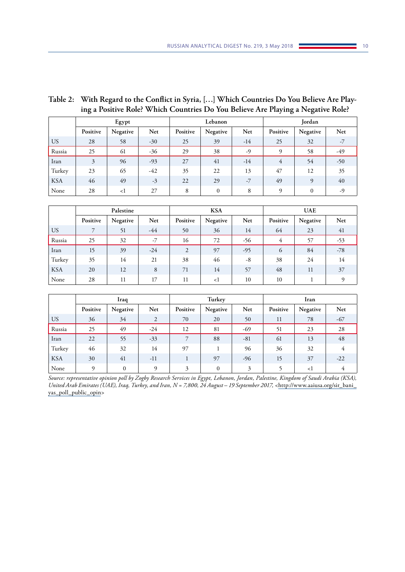# **Table 2: With Regard to the Conflict in Syria, […] Which Countries Do You Believe Are Playing a Positive Role? Which Countries Do You Believe Are Playing a Negative Role?**

|                |          | Egypt    |            |          | Lebanon      |       | Jordan   |              |       |  |
|----------------|----------|----------|------------|----------|--------------|-------|----------|--------------|-------|--|
|                | Positive | Negative | <b>Net</b> | Positive | Negative     | Net   | Positive | Negative     | Net   |  |
| US <sub></sub> | 28       | 58       | $-30$      | 25       | 39           | $-14$ | 25       | 32           | $-7$  |  |
| Russia         | 25       | 61       | $-36$      | 29       | 38           | $-9$  | 9        | 58           | -49   |  |
| Iran           | 3        | 96       | $-93$      | 27       | 41           | $-14$ | 4        | 54           | $-50$ |  |
| Turkey         | 23       | 65       | $-42$      | 35       | 22           | 13    | 47       | 12           | 35    |  |
| <b>KSA</b>     | 46       | 49       | $-3$       | 22       | 29           | $-7$  | 49       | 9            | 40    |  |
| None           | 28       | <1       | 27         | 8        | $\mathbf{0}$ | 8     | 9        | $\mathbf{0}$ | -9    |  |

|            |          | Palestine |       |          | <b>KSA</b> |       | <b>UAE</b> |          |          |  |
|------------|----------|-----------|-------|----------|------------|-------|------------|----------|----------|--|
|            | Positive | Negative  | Net   | Positive | Negative   | Net   | Positive   | Negative | Net      |  |
| <b>US</b>  |          | 51        | $-44$ | 50       | 36         | 14    | 64         | 23       | 41       |  |
| Russia     | 25       | 32        | $-7$  | 16       | 72         | $-56$ | 4          | 57       | -53      |  |
| Iran       | 15       | 39        | $-24$ | 2        | 97         | $-95$ | 6          | 84       | $-78$    |  |
| Turkey     | 35       | 14        | 21    | 38       | 46         | -8    | 38         | 24       | 14       |  |
| <b>KSA</b> | 20       | 12        | 8     | 71       | 14         | 57    | 48         | 11       | 37       |  |
| None       | 28       | 11        | 17    | 11       | <1         | 10    | 10         |          | $\Omega$ |  |

|            |          | Iraq         |                |          | Turkey       |       | Iran     |          |       |  |
|------------|----------|--------------|----------------|----------|--------------|-------|----------|----------|-------|--|
|            | Positive | Negative     | Net            | Positive | Negative     | Net   | Positive | Negative | Net   |  |
| <b>US</b>  | 36       | 34           | $\overline{2}$ | 70       | 20           | 50    | 11       | 78       | $-67$ |  |
| Russia     | 25       | 49           | $-24$          | 12       | 81           | -69   | 51       | 23       | 28    |  |
| Iran       | 22       | 55           | $-33$          | 7        | 88           | $-81$ | 61       | 13       | 48    |  |
| Turkey     | 46       | 32           | 14             | 97       |              | 96    | 36       | 32       | 4     |  |
| <b>KSA</b> | 30       | 41           | $-11$          |          | 97           | -96   | 15       | 37       | $-22$ |  |
| None       | $\Omega$ | $\mathbf{0}$ | $\Omega$       | 3        | $\mathbf{0}$ | 3     |          | <1       |       |  |

*Source: representative opinion poll by Zogby Research Services in Egypt, Lebanon, Jordan, Palestine, Kingdom of Saudi Arabia (KSA), United Arab Emirates (UAE), Iraq, Turkey, and Iran, N = 7,800, 24 August – 19 September 2017, <*[http://www.aaiusa.org/sir\\_bani\\_](http://www.aaiusa.org/sir_bani_yas_poll_public_opin) [yas\\_poll\\_public\\_opin](http://www.aaiusa.org/sir_bani_yas_poll_public_opin)*>*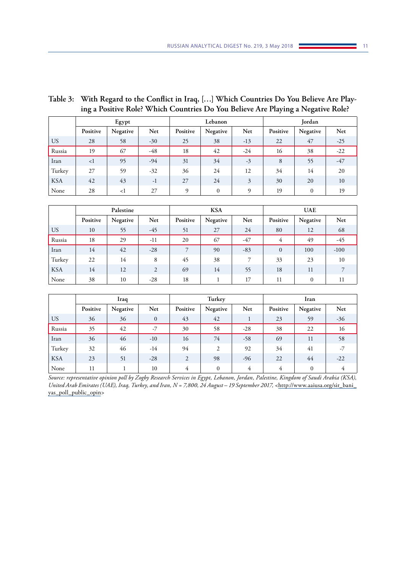| Table 3: With Regard to the Conflict in Iraq, [] Which Countries Do You Believe Are Play- |
|-------------------------------------------------------------------------------------------|
| ing a Positive Role? Which Countries Do You Believe Are Playing a Negative Role?          |

|                |             | Egypt    |       |          | Lebanon      |       | Jordan   |              |       |  |
|----------------|-------------|----------|-------|----------|--------------|-------|----------|--------------|-------|--|
|                | Positive    | Negative | Net   | Positive | Negative     | Net   | Positive | Negative     | Net   |  |
| US <sub></sub> | 28          | 58       | $-30$ | 25       | 38           | $-13$ | 22       | 47           | $-25$ |  |
| Russia         | 19          | 67       | -48   | 18       | 42           | $-24$ | 16       | 38           | $-22$ |  |
| Iran           | $\langle$ 1 | 95       | $-94$ | 31       | 34           | $-3$  | 8        | 55           | $-47$ |  |
| Turkey         | 27          | 59       | $-32$ | 36       | 24           | 12    | 34       | 14           | 20    |  |
| <b>KSA</b>     | 42          | 43       | $-1$  | 27       | 24           | 3     | 30       | 20           | 10    |  |
| None           | 28          | $\leq$ 1 | 27    | 9        | $\mathbf{0}$ | 9     | 19       | $\mathbf{0}$ | 19    |  |

|                |          | Palestine |       |          | <b>KSA</b> |       | <b>UAE</b>     |              |        |  |
|----------------|----------|-----------|-------|----------|------------|-------|----------------|--------------|--------|--|
|                | Positive | Negative  | Net   | Positive | Negative   | Net   | Positive       | Negative     | Net    |  |
| US <sub></sub> | 10       | 55        | $-45$ | 51       | 27         | 24    | 80             | 12           | 68     |  |
| Russia         | 18       | 29        | $-11$ | 20       | 67         | $-47$ | 4              | 49           | -45    |  |
| Iran           | 14       | 42        | $-28$ | 7        | 90         | $-83$ | $\overline{0}$ | 100          | $-100$ |  |
| Turkey         | 22       | 14        | 8     | 45       | 38         |       | 33             | 23           | 10     |  |
| <b>KSA</b>     | 14       | 12        | 2     | 69       | 14         | 55    | 18             | 11           |        |  |
| None           | 38       | 10        | $-28$ | 18       |            | 17    | 11             | $\mathbf{0}$ | 11     |  |

|                 |          | Iraq     |              |          | Turkey           |       | Iran     |          |       |  |
|-----------------|----------|----------|--------------|----------|------------------|-------|----------|----------|-------|--|
|                 | Positive | Negative | Net          | Positive | Negative         | Net   | Positive | Negative | Net   |  |
| US <sub>1</sub> | 36       | 36       | $\mathbf{0}$ | 43       | 42               |       | 23       | 59       | $-36$ |  |
| Russia          | 35       | 42       | -7           | 30       | 58               | $-28$ | 38       | 22       | 16    |  |
| Iran            | 36       | 46       | $-10$        | 16       | 74               | $-58$ | 69       | 11       | 58    |  |
| Turkey          | 32       | 46       | -14          | 94       | 2                | 92    | 34       | 41       | $-7$  |  |
| <b>KSA</b>      | 23       | 51       | $-28$        | 2        | 98               | -96   | 22       | 44       | $-22$ |  |
| None            | 11       |          | 10           | 4        | $\boldsymbol{0}$ | 4     | 4        | $\Omega$ | 4     |  |

*Source: representative opinion poll by Zogby Research Services in Egypt, Lebanon, Jordan, Palestine, Kingdom of Saudi Arabia (KSA), United Arab Emirates (UAE), Iraq, Turkey, and Iran, N = 7,800, 24 August – 19 September 2017, <*[http://www.aaiusa.org/sir\\_bani\\_](http://www.aaiusa.org/sir_bani_yas_poll_public_opin) [yas\\_poll\\_public\\_opin](http://www.aaiusa.org/sir_bani_yas_poll_public_opin)*>*